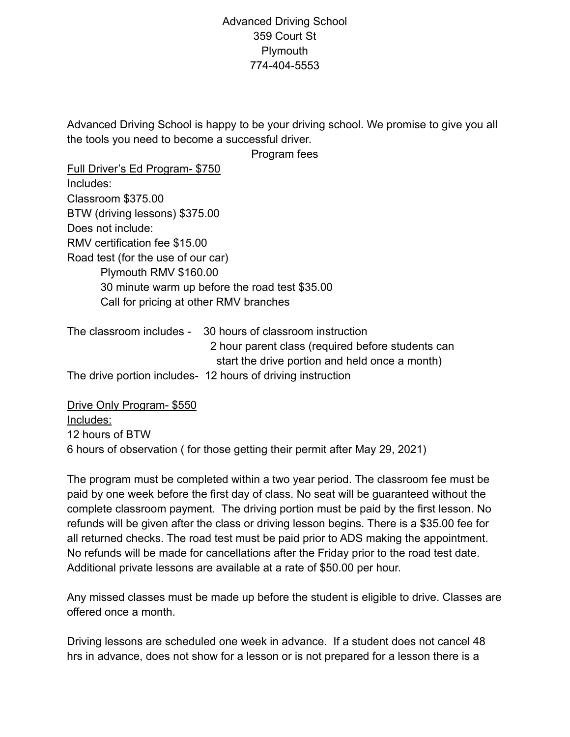## Advanced Driving School 359 Court St Plymouth 774-404-5553

Advanced Driving School is happy to be your driving school. We promise to give you all the tools you need to become a successful driver.

Program fees

| Full Driver's Ed Program- \$750                                                                                 |
|-----------------------------------------------------------------------------------------------------------------|
| Includes:                                                                                                       |
| Classroom \$375.00                                                                                              |
| BTW (driving lessons) \$375.00                                                                                  |
| Does not include:                                                                                               |
| RMV certification fee \$15.00                                                                                   |
| Road test (for the use of our car)                                                                              |
| Plymouth RMV \$160.00                                                                                           |
| 30 minute warm up before the road test \$35.00                                                                  |
| Call for pricing at other RMV branches                                                                          |
| The classroom includes - 30 hours of classroom instruction<br>2 hour parent class (required before students can |

The drive portion includes- 12 hours of driving instruction

Drive Only Program- \$550

Includes:

12 hours of BTW

6 hours of observation ( for those getting their permit after May 29, 2021) The program must be completed within a two year period. The classroom fee must be paid by one week before the first day of class. No seat will be guaranteed without the complete classroom payment. The driving portion must be paid by the first lesson. No refunds will be given after the class or driving lesson begins. There is a \$35.00 fee for all returned checks. The road test must be paid prior to ADS making the appointment. No refunds will be made for cancellations after the Friday prior to the road test date.

start the drive portion and held once a month)

Additional private lessons are available at a rate of \$50.00 per hour.

Any missed classes must be made up before the student is eligible to drive. Classes are offered once a month.

Driving lessons are scheduled one week in advance. If a student does not cancel 48 hrs in advance, does not show for a lesson or is not prepared for a lesson there is a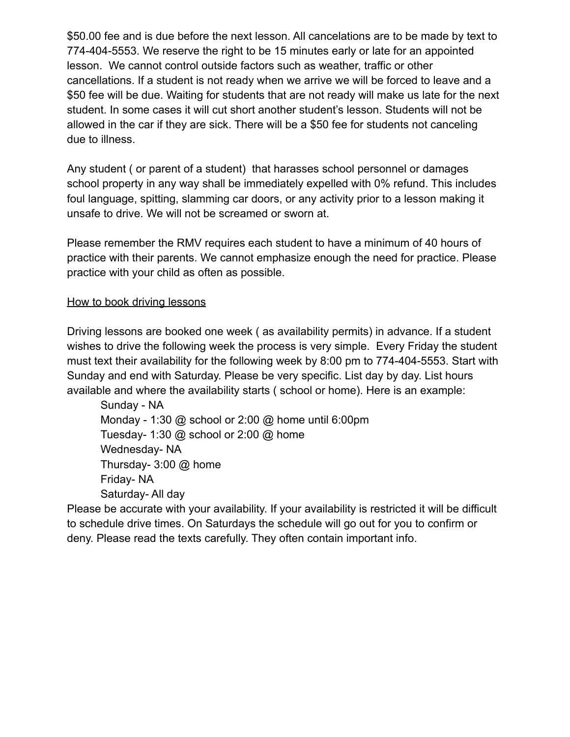\$50.00 fee and is due before the next lesson. All cancelations are to be made by text to 774-404-5553. We reserve the right to be 15 minutes early or late for an appointed lesson. We cannot control outside factors such as weather, traffic or other cancellations. If a student is not ready when we arrive we will be forced to leave and a \$50 fee will be due. Waiting for students that are not ready will make us late for the next student. In some cases it will cut short another student's lesson. Students will not be allowed in the car if they are sick. There will be a \$50 fee for students not canceling due to illness.

Any student ( or parent of a student) that harasses school personnel or damages school property in any way shall be immediately expelled with 0% refund. This includes foul language, spitting, slamming car doors, or any activity prior to a lesson making it unsafe to drive. We will not be screamed or sworn at.

Please remember the RMV requires each student to have a minimum of 40 hours of practice with their parents. We cannot emphasize enough the need for practice. Please practice with your child as often as possible.

## How to book driving lessons

Driving lessons are booked one week ( as availability permits) in advance. If a student wishes to drive the following week the process is very simple. Every Friday the student must text their availability for the following week by 8:00 pm to 774-404-5553. Start with Sunday and end with Saturday. Please be very specific. List day by day. List hours available and where the availability starts ( school or home). Here is an example:

Sunday - NA Monday - 1:30 @ school or 2:00 @ home until 6:00pm Tuesday- 1:30 @ school or 2:00 @ home Wednesday- NA Thursday- 3:00 @ home Friday- NA Saturday- All day

Please be accurate with your availability. If your availability is restricted it will be difficult to schedule drive times. On Saturdays the schedule will go out for you to confirm or deny. Please read the texts carefully. They often contain important info.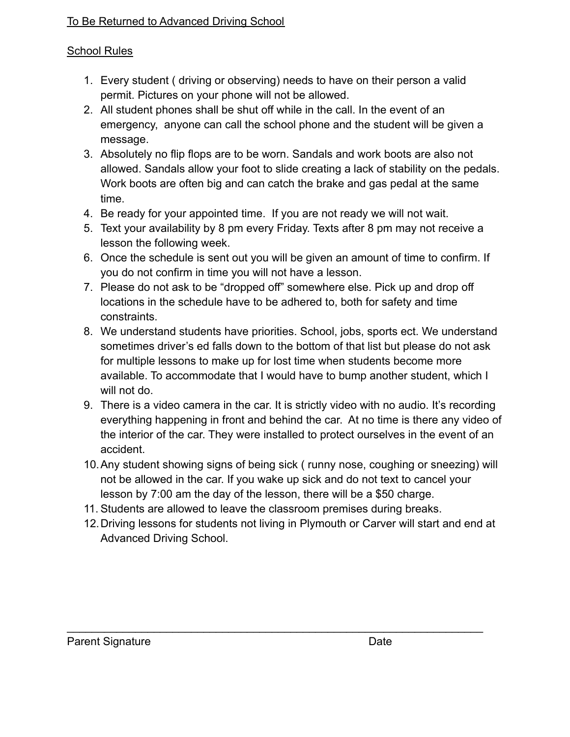## To Be Returned to Advanced Driving School

## School Rules

- 1. Every student ( driving or observing) needs to have on their person a valid permit. Pictures on your phone will not be allowed.
- 2. All student phones shall be shut off while in the call. In the event of an emergency, anyone can call the school phone and the student will be given a message.
- 3. Absolutely no flip flops are to be worn. Sandals and work boots are also not allowed. Sandals allow your foot to slide creating a lack of stability on the pedals. Work boots are often big and can catch the brake and gas pedal at the same time.
- 4. Be ready for your appointed time. If you are not ready we will not wait.
- 5. Text your availability by 8 pm every Friday. Texts after 8 pm may not receive a lesson the following week.
- 6. Once the schedule is sent out you will be given an amount of time to confirm. If you do not confirm in time you will not have a lesson.
- 7. Please do not ask to be "dropped off" somewhere else. Pick up and drop off locations in the schedule have to be adhered to, both for safety and time constraints.
- 8. We understand students have priorities. School, jobs, sports ect. We understand sometimes driver's ed falls down to the bottom of that list but please do not ask for multiple lessons to make up for lost time when students become more available. To accommodate that I would have to bump another student, which I will not do.
- 9. There is a video camera in the car. It is strictly video with no audio. It's recording everything happening in front and behind the car. At no time is there any video of the interior of the car. They were installed to protect ourselves in the event of an accident.
- 10.Any student showing signs of being sick ( runny nose, coughing or sneezing) will not be allowed in the car. If you wake up sick and do not text to cancel your lesson by 7:00 am the day of the lesson, there will be a \$50 charge.
- 11. Students are allowed to leave the classroom premises during breaks.
- 12.Driving lessons for students not living in Plymouth or Carver will start and end at Advanced Driving School.

\_\_\_\_\_\_\_\_\_\_\_\_\_\_\_\_\_\_\_\_\_\_\_\_\_\_\_\_\_\_\_\_\_\_\_\_\_\_\_\_\_\_\_\_\_\_\_\_\_\_\_\_\_\_\_\_\_\_\_\_\_\_\_\_\_\_\_